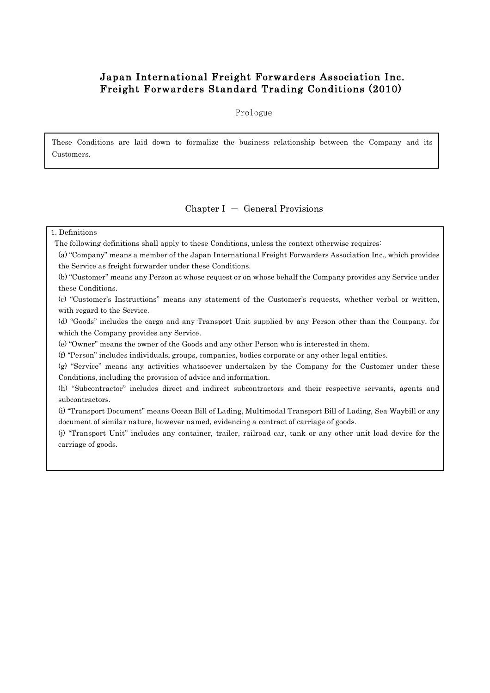# Japan International Freight Forwarders Association Inc. Freight Forwarders Standard Trading Conditions (2010)

Prologue

These Conditions are laid down to formalize the business relationship between the Company and its Customers.

# Chapter  $I -$  General Provisions

# 1. Definitions

٦

The following definitions shall apply to these Conditions, unless the context otherwise requires:

(a) "Company" means a member of the Japan International Freight Forwarders Association Inc., which provides the Service as freight forwarder under these Conditions.

(b) "Customer" means any Person at whose request or on whose behalf the Company provides any Service under these Conditions.

(c) "Customer's Instructions" means any statement of the Customer's requests, whether verbal or written, with regard to the Service.

(d) "Goods" includes the cargo and any Transport Unit supplied by any Person other than the Company, for which the Company provides any Service.

(e) "Owner" means the owner of the Goods and any other Person who is interested in them.

(f) "Person" includes individuals, groups, companies, bodies corporate or any other legal entities.

(g) "Service" means any activities whatsoever undertaken by the Company for the Customer under these Conditions, including the provision of advice and information.

(h) "Subcontractor" includes direct and indirect subcontractors and their respective servants, agents and subcontractors.

(i) "Transport Document" means Ocean Bill of Lading, Multimodal Transport Bill of Lading, Sea Waybill or any document of similar nature, however named, evidencing a contract of carriage of goods.

(j) "Transport Unit" includes any container, trailer, railroad car, tank or any other unit load device for the carriage of goods.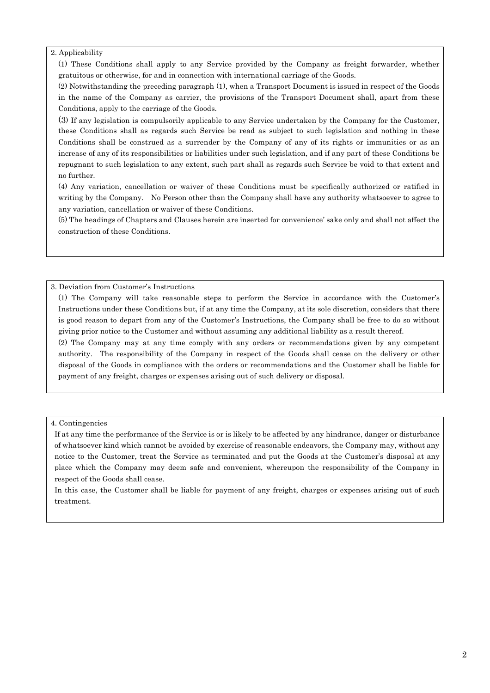### 2. Applicability

(1) These Conditions shall apply to any Service provided by the Company as freight forwarder, whether gratuitous or otherwise, for and in connection with international carriage of the Goods.

(2) Notwithstanding the preceding paragraph (1), when a Transport Document is issued in respect of the Goods in the name of the Company as carrier, the provisions of the Transport Document shall, apart from these Conditions, apply to the carriage of the Goods.

(3) If any legislation is compulsorily applicable to any Service undertaken by the Company for the Customer, these Conditions shall as regards such Service be read as subject to such legislation and nothing in these Conditions shall be construed as a surrender by the Company of any of its rights or immunities or as an increase of any of its responsibilities or liabilities under such legislation, and if any part of these Conditions be repugnant to such legislation to any extent, such part shall as regards such Service be void to that extent and no further.

(4) Any variation, cancellation or waiver of these Conditions must be specifically authorized or ratified in writing by the Company. No Person other than the Company shall have any authority whatsoever to agree to any variation, cancellation or waiver of these Conditions.

(5) The headings of Chapters and Clauses herein are inserted for convenience' sake only and shall not affect the construction of these Conditions.

3. Deviation from Customer's Instructions

(1) The Company will take reasonable steps to perform the Service in accordance with the Customer's Instructions under these Conditions but, if at any time the Company, at its sole discretion, considers that there is good reason to depart from any of the Customer's Instructions, the Company shall be free to do so without giving prior notice to the Customer and without assuming any additional liability as a result thereof.

(2) The Company may at any time comply with any orders or recommendations given by any competent authority. The responsibility of the Company in respect of the Goods shall cease on the delivery or other disposal of the Goods in compliance with the orders or recommendations and the Customer shall be liable for payment of any freight, charges or expenses arising out of such delivery or disposal.

4. Contingencies

If at any time the performance of the Service is or is likely to be affected by any hindrance, danger or disturbance of whatsoever kind which cannot be avoided by exercise of reasonable endeavors, the Company may, without any notice to the Customer, treat the Service as terminated and put the Goods at the Customer's disposal at any place which the Company may deem safe and convenient, whereupon the responsibility of the Company in respect of the Goods shall cease.

In this case, the Customer shall be liable for payment of any freight, charges or expenses arising out of such treatment.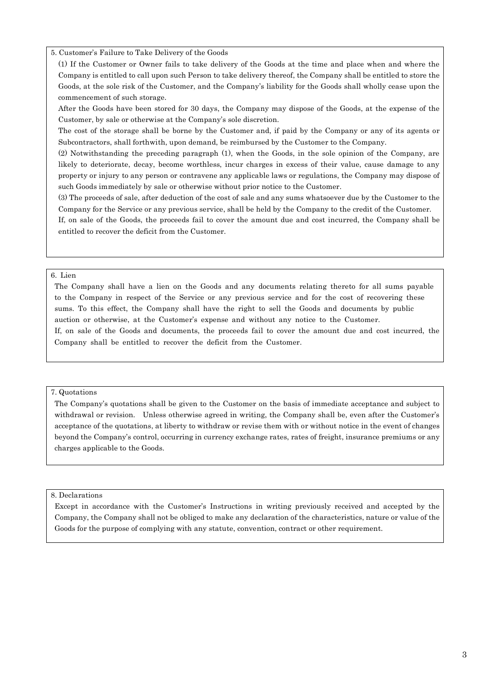#### 5. Customer's Failure to Take Delivery of the Goods

(1) If the Customer or Owner fails to take delivery of the Goods at the time and place when and where the Company is entitled to call upon such Person to take delivery thereof, the Company shall be entitled to store the Goods, at the sole risk of the Customer, and the Company's liability for the Goods shall wholly cease upon the commencement of such storage.

After the Goods have been stored for 30 days, the Company may dispose of the Goods, at the expense of the Customer, by sale or otherwise at the Company's sole discretion.

The cost of the storage shall be borne by the Customer and, if paid by the Company or any of its agents or Subcontractors, shall forthwith, upon demand, be reimbursed by the Customer to the Company.

(2) Notwithstanding the preceding paragraph (1), when the Goods, in the sole opinion of the Company, are likely to deteriorate, decay, become worthless, incur charges in excess of their value, cause damage to any property or injury to any person or contravene any applicable laws or regulations, the Company may dispose of such Goods immediately by sale or otherwise without prior notice to the Customer.

(3) The proceeds of sale, after deduction of the cost of sale and any sums whatsoever due by the Customer to the Company for the Service or any previous service, shall be held by the Company to the credit of the Customer.

If, on sale of the Goods, the proceeds fail to cover the amount due and cost incurred, the Company shall be entitled to recover the deficit from the Customer.

### 6. Lien

The Company shall have a lien on the Goods and any documents relating thereto for all sums payable to the Company in respect of the Service or any previous service and for the cost of recovering these sums. To this effect, the Company shall have the right to sell the Goods and documents by public auction or otherwise, at the Customer's expense and without any notice to the Customer. If, on sale of the Goods and documents, the proceeds fail to cover the amount due and cost incurred, the Company shall be entitled to recover the deficit from the Customer.

### 7. Quotations

The Company's quotations shall be given to the Customer on the basis of immediate acceptance and subject to withdrawal or revision. Unless otherwise agreed in writing, the Company shall be, even after the Customer's acceptance of the quotations, at liberty to withdraw or revise them with or without notice in the event of changes beyond the Company's control, occurring in currency exchange rates, rates of freight, insurance premiums or any charges applicable to the Goods.

#### 8. Declarations

Except in accordance with the Customer's Instructions in writing previously received and accepted by the Company, the Company shall not be obliged to make any declaration of the characteristics, nature or value of the Goods for the purpose of complying with any statute, convention, contract or other requirement.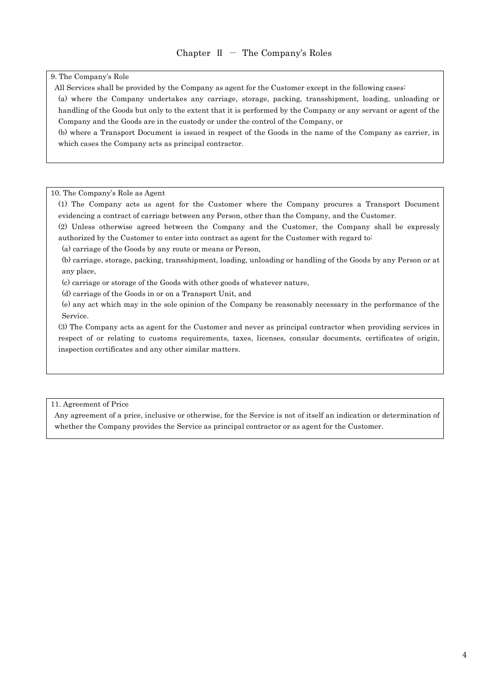9. The Company's Role

All Services shall be provided by the Company as agent for the Customer except in the following cases:

(a) where the Company undertakes any carriage, storage, packing, transshipment, loading, unloading or handling of the Goods but only to the extent that it is performed by the Company or any servant or agent of the Company and the Goods are in the custody or under the control of the Company, or

(b) where a Transport Document is issued in respect of the Goods in the name of the Company as carrier, in which cases the Company acts as principal contractor.

#### 10. The Company's Role as Agent

- (1) The Company acts as agent for the Customer where the Company procures a Transport Document evidencing a contract of carriage between any Person, other than the Company, and the Customer.
- (2) Unless otherwise agreed between the Company and the Customer, the Company shall be expressly authorized by the Customer to enter into contract as agent for the Customer with regard to:
- (a) carriage of the Goods by any route or means or Person,

(b) carriage, storage, packing, transshipment, loading, unloading or handling of the Goods by any Person or at any place,

- (c) carriage or storage of the Goods with other goods of whatever nature,
- (d) carriage of the Goods in or on a Transport Unit, and
- (e) any act which may in the sole opinion of the Company be reasonably necessary in the performance of the Service.

(3) The Company acts as agent for the Customer and never as principal contractor when providing services in respect of or relating to customs requirements, taxes, licenses, consular documents, certificates of origin, inspection certificates and any other similar matters.

11. Agreement of Price

Any agreement of a price, inclusive or otherwise, for the Service is not of itself an indication or determination of whether the Company provides the Service as principal contractor or as agent for the Customer.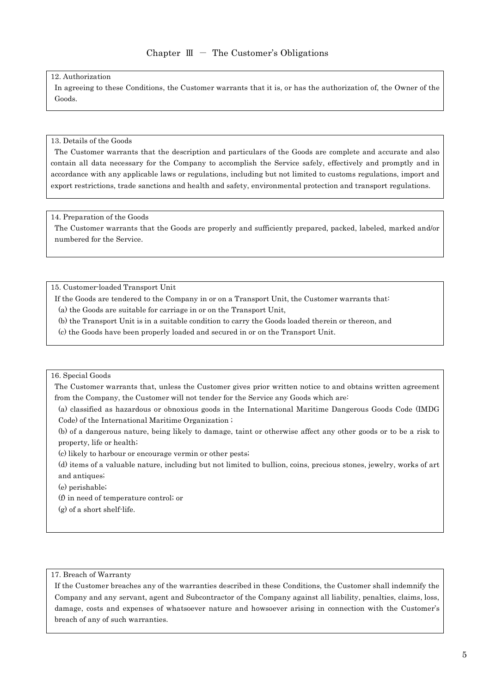#### 12. Authorization

In agreeing to these Conditions, the Customer warrants that it is, or has the authorization of, the Owner of the Goods.

#### 13. Details of the Goods

The Customer warrants that the description and particulars of the Goods are complete and accurate and also contain all data necessary for the Company to accomplish the Service safely, effectively and promptly and in accordance with any applicable laws or regulations, including but not limited to customs regulations, import and export restrictions, trade sanctions and health and safety, environmental protection and transport regulations.

#### 14. Preparation of the Goods

The Customer warrants that the Goods are properly and sufficiently prepared, packed, labeled, marked and/or numbered for the Service.

15. Customer-loaded Transport Unit

If the Goods are tendered to the Company in or on a Transport Unit, the Customer warrants that: (a) the Goods are suitable for carriage in or on the Transport Unit,

(b) the Transport Unit is in a suitable condition to carry the Goods loaded therein or thereon, and

(c) the Goods have been properly loaded and secured in or on the Transport Unit.

#### 16. Special Goods

The Customer warrants that, unless the Customer gives prior written notice to and obtains written agreement from the Company, the Customer will not tender for the Service any Goods which are:

(a) classified as hazardous or obnoxious goods in the International Maritime Dangerous Goods Code (IMDG Code) of the International Maritime Organization ;

(b) of a dangerous nature, being likely to damage, taint or otherwise affect any other goods or to be a risk to property, life or health;

(c) likely to harbour or encourage vermin or other pests;

(d) items of a valuable nature, including but not limited to bullion, coins, precious stones, jewelry, works of art and antiques;

(e) perishable;

(f) in need of temperature control; or

(g) of a short shelf-life.

# 17. Breach of Warranty

If the Customer breaches any of the warranties described in these Conditions, the Customer shall indemnify the Company and any servant, agent and Subcontractor of the Company against all liability, penalties, claims, loss, damage, costs and expenses of whatsoever nature and howsoever arising in connection with the Customer's breach of any of such warranties.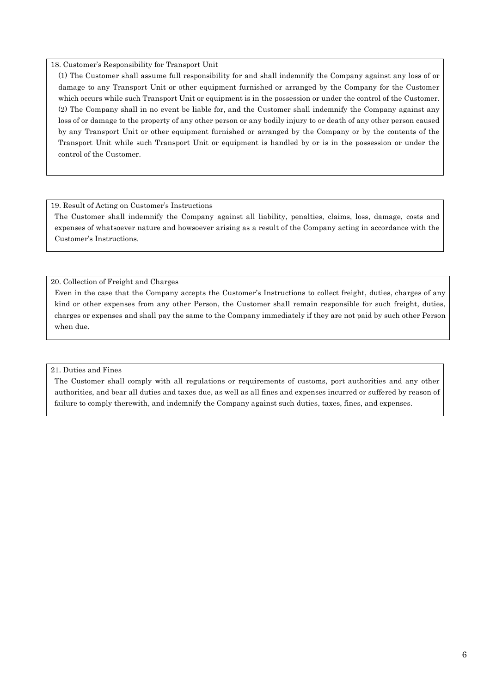### 18. Customer's Responsibility for Transport Unit

(1) The Customer shall assume full responsibility for and shall indemnify the Company against any loss of or damage to any Transport Unit or other equipment furnished or arranged by the Company for the Customer which occurs while such Transport Unit or equipment is in the possession or under the control of the Customer. (2) The Company shall in no event be liable for, and the Customer shall indemnify the Company against any loss of or damage to the property of any other person or any bodily injury to or death of any other person caused by any Transport Unit or other equipment furnished or arranged by the Company or by the contents of the Transport Unit while such Transport Unit or equipment is handled by or is in the possession or under the control of the Customer.

### 19. Result of Acting on Customer's Instructions

The Customer shall indemnify the Company against all liability, penalties, claims, loss, damage, costs and expenses of whatsoever nature and howsoever arising as a result of the Company acting in accordance with the Customer's Instructions.

# 20. Collection of Freight and Charges

Even in the case that the Company accepts the Customer's Instructions to collect freight, duties, charges of any kind or other expenses from any other Person, the Customer shall remain responsible for such freight, duties, charges or expenses and shall pay the same to the Company immediately if they are not paid by such other Person when due.

# 21. Duties and Fines

The Customer shall comply with all regulations or requirements of customs, port authorities and any other authorities, and bear all duties and taxes due, as well as all fines and expenses incurred or suffered by reason of failure to comply therewith, and indemnify the Company against such duties, taxes, fines, and expenses.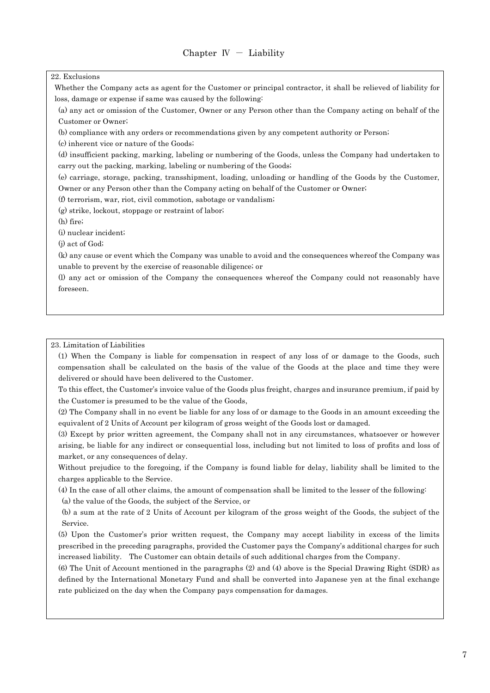### 22. Exclusions

Whether the Company acts as agent for the Customer or principal contractor, it shall be relieved of liability for loss, damage or expense if same was caused by the following:

(a) any act or omission of the Customer, Owner or any Person other than the Company acting on behalf of the Customer or Owner;

(b) compliance with any orders or recommendations given by any competent authority or Person;

(c) inherent vice or nature of the Goods;

(d) insufficient packing, marking, labeling or numbering of the Goods, unless the Company had undertaken to carry out the packing, marking, labeling or numbering of the Goods;

(e) carriage, storage, packing, transshipment, loading, unloading or handling of the Goods by the Customer, Owner or any Person other than the Company acting on behalf of the Customer or Owner;

(f) terrorism, war, riot, civil commotion, sabotage or vandalism;

(g) strike, lockout, stoppage or restraint of labor;

(h) fire;

(i) nuclear incident;

(j) act of God;

(k) any cause or event which the Company was unable to avoid and the consequences whereof the Company was unable to prevent by the exercise of reasonable diligence; or

(l) any act or omission of the Company the consequences whereof the Company could not reasonably have foreseen.

### 23. Limitation of Liabilities

(1) When the Company is liable for compensation in respect of any loss of or damage to the Goods, such compensation shall be calculated on the basis of the value of the Goods at the place and time they were delivered or should have been delivered to the Customer.

To this effect, the Customer's invoice value of the Goods plus freight, charges and insurance premium, if paid by the Customer is presumed to be the value of the Goods,

(2) The Company shall in no event be liable for any loss of or damage to the Goods in an amount exceeding the equivalent of 2 Units of Account per kilogram of gross weight of the Goods lost or damaged.

(3) Except by prior written agreement, the Company shall not in any circumstances, whatsoever or however arising, be liable for any indirect or consequential loss, including but not limited to loss of profits and loss of market, or any consequences of delay.

Without prejudice to the foregoing, if the Company is found liable for delay, liability shall be limited to the charges applicable to the Service.

(4) In the case of all other claims, the amount of compensation shall be limited to the lesser of the following: (a) the value of the Goods, the subject of the Service, or

(b) a sum at the rate of 2 Units of Account per kilogram of the gross weight of the Goods, the subject of the Service.

(5) Upon the Customer's prior written request, the Company may accept liability in excess of the limits prescribed in the preceding paragraphs, provided the Customer pays the Company's additional charges for such increased liability. The Customer can obtain details of such additional charges from the Company.

(6) The Unit of Account mentioned in the paragraphs (2) and (4) above is the Special Drawing Right (SDR) as defined by the International Monetary Fund and shall be converted into Japanese yen at the final exchange rate publicized on the day when the Company pays compensation for damages.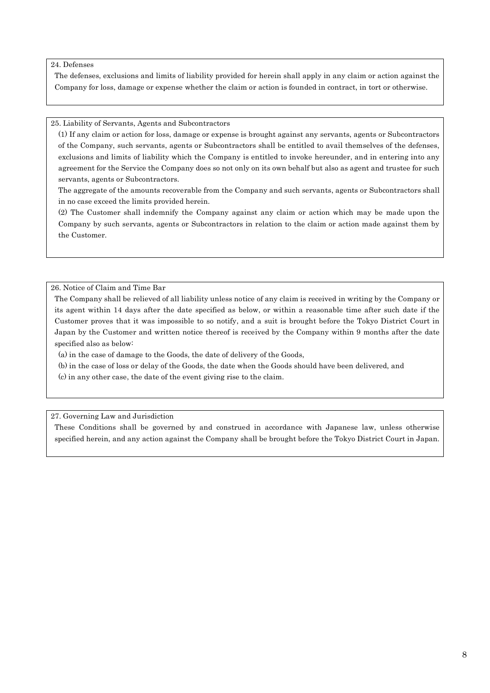### 24. Defenses

The defenses, exclusions and limits of liability provided for herein shall apply in any claim or action against the Company for loss, damage or expense whether the claim or action is founded in contract, in tort or otherwise.

### 25. Liability of Servants, Agents and Subcontractors

(1) If any claim or action for loss, damage or expense is brought against any servants, agents or Subcontractors of the Company, such servants, agents or Subcontractors shall be entitled to avail themselves of the defenses, exclusions and limits of liability which the Company is entitled to invoke hereunder, and in entering into any agreement for the Service the Company does so not only on its own behalf but also as agent and trustee for such servants, agents or Subcontractors.

The aggregate of the amounts recoverable from the Company and such servants, agents or Subcontractors shall in no case exceed the limits provided herein.

(2) The Customer shall indemnify the Company against any claim or action which may be made upon the Company by such servants, agents or Subcontractors in relation to the claim or action made against them by the Customer.

26. Notice of Claim and Time Bar

The Company shall be relieved of all liability unless notice of any claim is received in writing by the Company or its agent within 14 days after the date specified as below, or within a reasonable time after such date if the Customer proves that it was impossible to so notify, and a suit is brought before the Tokyo District Court in Japan by the Customer and written notice thereof is received by the Company within 9 months after the date specified also as below:

(a) in the case of damage to the Goods, the date of delivery of the Goods,

(b) in the case of loss or delay of the Goods, the date when the Goods should have been delivered, and

(c) in any other case, the date of the event giving rise to the claim.

# 27. Governing Law and Jurisdiction

These Conditions shall be governed by and construed in accordance with Japanese law, unless otherwise specified herein, and any action against the Company shall be brought before the Tokyo District Court in Japan.